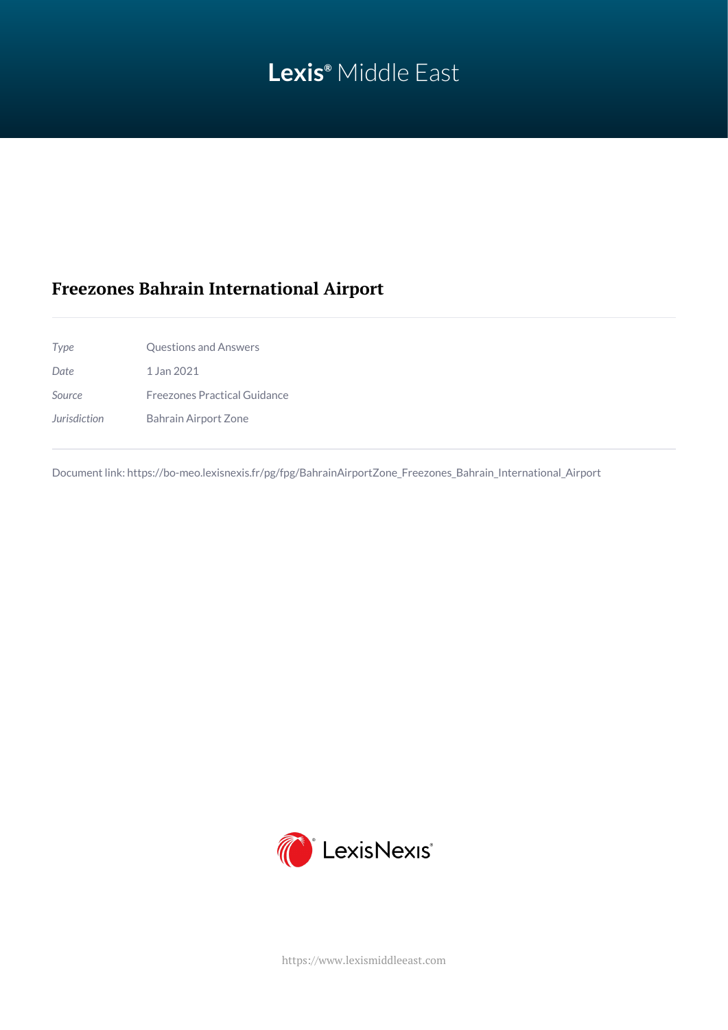# **Lexis®** Middle East

# **Freezones Bahrain International Airport**

| Type         | <b>Questions and Answers</b> |
|--------------|------------------------------|
| <b>Date</b>  | 1 Jan 2021                   |
| Source       | Freezones Practical Guidance |
| Jurisdiction | Bahrain Airport Zone         |

Document link: [https://bo-meo.lexisnexis.fr/pg/fpg/BahrainAirportZone\\_Freezones\\_Bahrain\\_International\\_Airport](https://bo-meo.lexisnexis.fr/pg/fpg/BahrainAirportZone_Freezones_Bahrain_International_Airport)



<https://www.lexismiddleeast.com>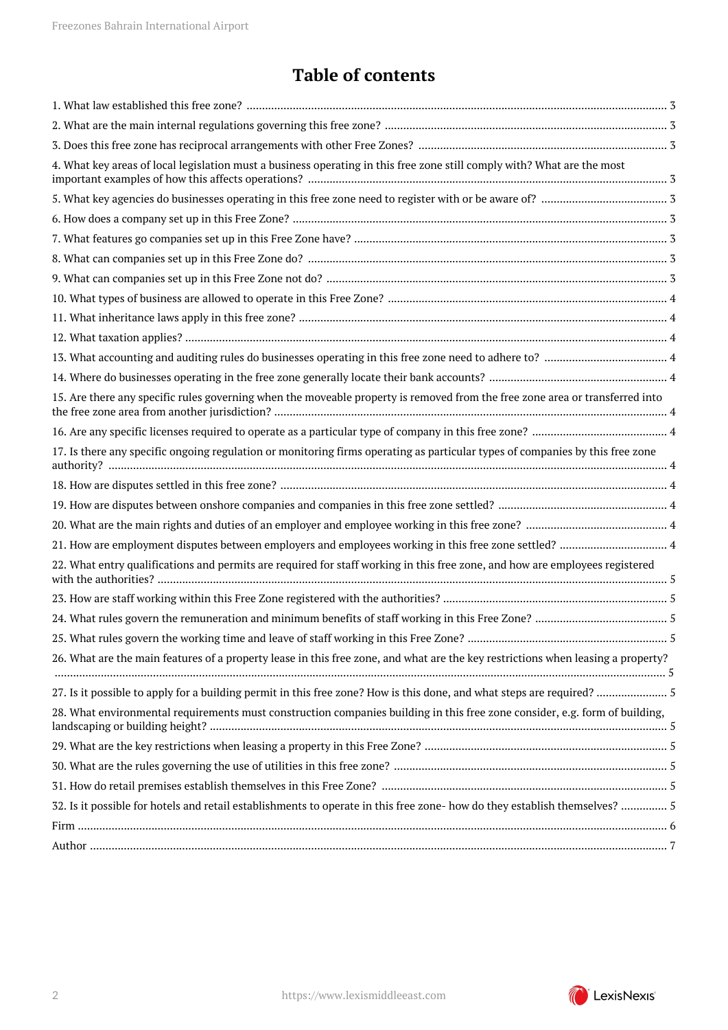# **Table of contents**

| 4. What key areas of local legislation must a business operating in this free zone still comply with? What are the most          |  |
|----------------------------------------------------------------------------------------------------------------------------------|--|
|                                                                                                                                  |  |
|                                                                                                                                  |  |
|                                                                                                                                  |  |
|                                                                                                                                  |  |
|                                                                                                                                  |  |
|                                                                                                                                  |  |
|                                                                                                                                  |  |
|                                                                                                                                  |  |
|                                                                                                                                  |  |
|                                                                                                                                  |  |
| 15. Are there any specific rules governing when the moveable property is removed from the free zone area or transferred into     |  |
|                                                                                                                                  |  |
| 17. Is there any specific ongoing regulation or monitoring firms operating as particular types of companies by this free zone    |  |
|                                                                                                                                  |  |
|                                                                                                                                  |  |
|                                                                                                                                  |  |
| 21. How are employment disputes between employers and employees working in this free zone settled?  4                            |  |
| 22. What entry qualifications and permits are required for staff working in this free zone, and how are employees registered     |  |
|                                                                                                                                  |  |
|                                                                                                                                  |  |
|                                                                                                                                  |  |
| 26. What are the main features of a property lease in this free zone, and what are the key restrictions when leasing a property? |  |
|                                                                                                                                  |  |
| 28. What environmental requirements must construction companies building in this free zone consider, e.g. form of building,      |  |
|                                                                                                                                  |  |
|                                                                                                                                  |  |
|                                                                                                                                  |  |
| 32. Is it possible for hotels and retail establishments to operate in this free zone- how do they establish themselves?  5       |  |
|                                                                                                                                  |  |
|                                                                                                                                  |  |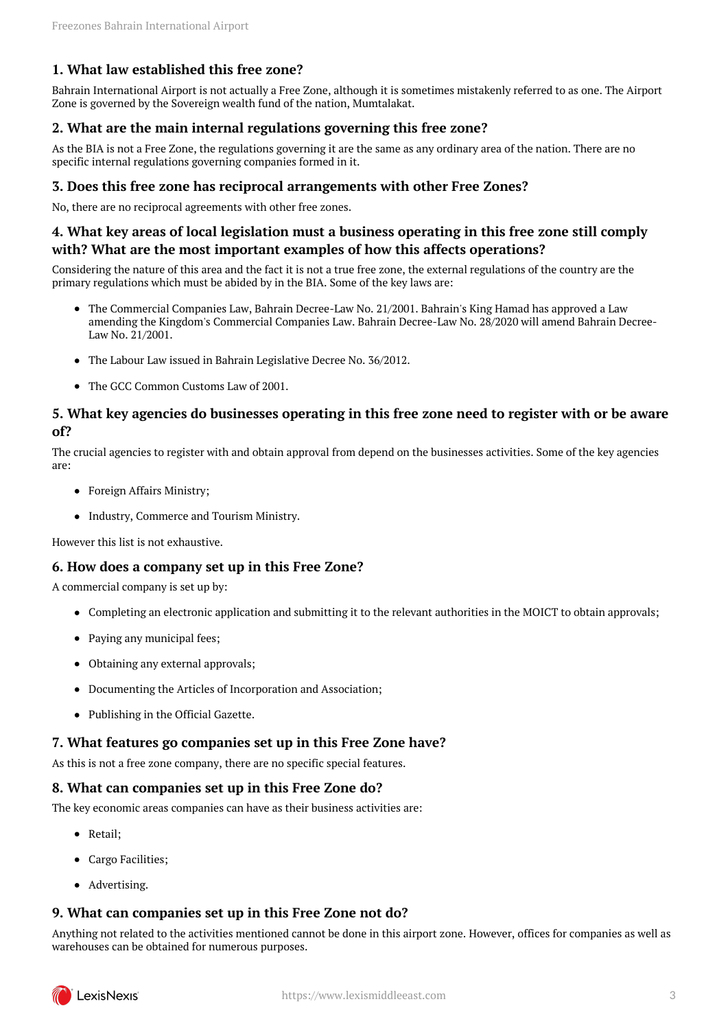### <span id="page-2-0"></span>**1. What law established this free zone?**

Bahrain International Airport is not actually a Free Zone, although it is sometimes mistakenly referred to as one. The Airport Zone is governed by the Sovereign wealth fund of the nation, Mumtalakat.

#### <span id="page-2-1"></span>**2. What are the main internal regulations governing this free zone?**

As the BIA is not a Free Zone, the regulations governing it are the same as any ordinary area of the nation. There are no specific internal regulations governing companies formed in it.

#### <span id="page-2-2"></span>**3. Does this free zone has reciprocal arrangements with other Free Zones?**

No, there are no reciprocal agreements with other free zones.

#### <span id="page-2-3"></span>**4. What key areas of local legislation must a business operating in this free zone still comply with? What are the most important examples of how this affects operations?**

Considering the nature of this area and the fact it is not a true free zone, the external regulations of the country are the primary regulations which must be abided by in the BIA. Some of the key laws are:

- The Commercial Companies Law, Bahrain Decree-Law No. 21/2001. Bahrain's King Hamad has approved a Law amending the Kingdom's Commercial Companies Law. Bahrain Decree-Law No. 28/2020 will amend Bahrain Decree-Law No. 21/2001.
- The Labour Law issued in Bahrain Legislative Decree No. 36/2012.
- The GCC Common Customs Law of 2001

#### <span id="page-2-4"></span>**5. What key agencies do businesses operating in this free zone need to register with or be aware of?**

The crucial agencies to register with and obtain approval from depend on the businesses activities. Some of the key agencies are:

- Foreign Affairs Ministry;
- Industry, Commerce and Tourism Ministry.

However this list is not exhaustive.

#### <span id="page-2-5"></span>**6. How does a company set up in this Free Zone?**

A commercial company is set up by:

- Completing an electronic application and submitting it to the relevant authorities in the MOICT to obtain approvals;
- Paying any municipal fees;
- Obtaining any external approvals;
- Documenting the Articles of Incorporation and Association;
- Publishing in the Official Gazette.

#### <span id="page-2-6"></span>**7. What features go companies set up in this Free Zone have?**

As this is not a free zone company, there are no specific special features.

#### <span id="page-2-7"></span>**8. What can companies set up in this Free Zone do?**

The key economic areas companies can have as their business activities are:

- Retail;
- Cargo Facilities;
- Advertising.

#### <span id="page-2-8"></span>**9. What can companies set up in this Free Zone not do?**

Anything not related to the activities mentioned cannot be done in this airport zone. However, offices for companies as well as warehouses can be obtained for numerous purposes.

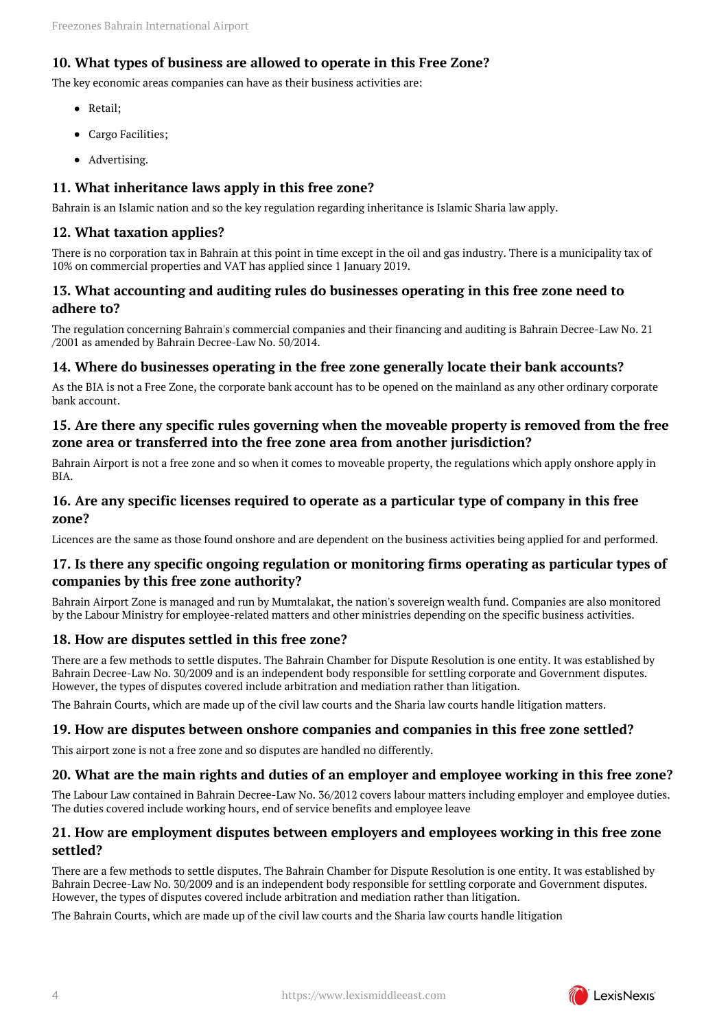# <span id="page-3-0"></span>**10. What types of business are allowed to operate in this Free Zone?**

The key economic areas companies can have as their business activities are:

- Retail;
- Cargo Facilities;
- Advertising.

### <span id="page-3-1"></span>**11. What inheritance laws apply in this free zone?**

Bahrain is an Islamic nation and so the key regulation regarding inheritance is Islamic Sharia law apply.

#### <span id="page-3-2"></span>**12. What taxation applies?**

There is no corporation tax in Bahrain at this point in time except in the oil and gas industry. There is a municipality tax of 10% on commercial properties and VAT has applied since 1 January 2019.

#### <span id="page-3-3"></span>**13. What accounting and auditing rules do businesses operating in this free zone need to adhere to?**

The regulation concerning Bahrain's commercial companies and their financing and auditing is Bahrain Decree-Law No. 21 /2001 as amended by Bahrain Decree-Law No. 50/2014.

#### <span id="page-3-4"></span>**14. Where do businesses operating in the free zone generally locate their bank accounts?**

As the BIA is not a Free Zone, the corporate bank account has to be opened on the mainland as any other ordinary corporate bank account.

# <span id="page-3-5"></span>**15. Are there any specific rules governing when the moveable property is removed from the free zone area or transferred into the free zone area from another jurisdiction?**

Bahrain Airport is not a free zone and so when it comes to moveable property, the regulations which apply onshore apply in BIA.

#### <span id="page-3-6"></span>**16. Are any specific licenses required to operate as a particular type of company in this free zone?**

Licences are the same as those found onshore and are dependent on the business activities being applied for and performed.

#### <span id="page-3-7"></span>**17. Is there any specific ongoing regulation or monitoring firms operating as particular types of companies by this free zone authority?**

Bahrain Airport Zone is managed and run by Mumtalakat, the nation's sovereign wealth fund. Companies are also monitored by the Labour Ministry for employee-related matters and other ministries depending on the specific business activities.

#### <span id="page-3-8"></span>**18. How are disputes settled in this free zone?**

There are a few methods to settle disputes. The Bahrain Chamber for Dispute Resolution is one entity. It was established by Bahrain Decree-Law No. 30/2009 and is an independent body responsible for settling corporate and Government disputes. However, the types of disputes covered include arbitration and mediation rather than litigation.

The Bahrain Courts, which are made up of the civil law courts and the Sharia law courts handle litigation matters.

#### <span id="page-3-9"></span>**19. How are disputes between onshore companies and companies in this free zone settled?**

This airport zone is not a free zone and so disputes are handled no differently.

#### <span id="page-3-10"></span>**20. What are the main rights and duties of an employer and employee working in this free zone?**

The Labour Law contained in Bahrain Decree-Law No. 36/2012 covers labour matters including employer and employee duties. The duties covered include working hours, end of service benefits and employee leave

#### <span id="page-3-11"></span>**21. How are employment disputes between employers and employees working in this free zone settled?**

There are a few methods to settle disputes. The Bahrain Chamber for Dispute Resolution is one entity. It was established by Bahrain Decree-Law No. 30/2009 and is an independent body responsible for settling corporate and Government disputes. However, the types of disputes covered include arbitration and mediation rather than litigation.

The Bahrain Courts, which are made up of the civil law courts and the Sharia law courts handle litigation

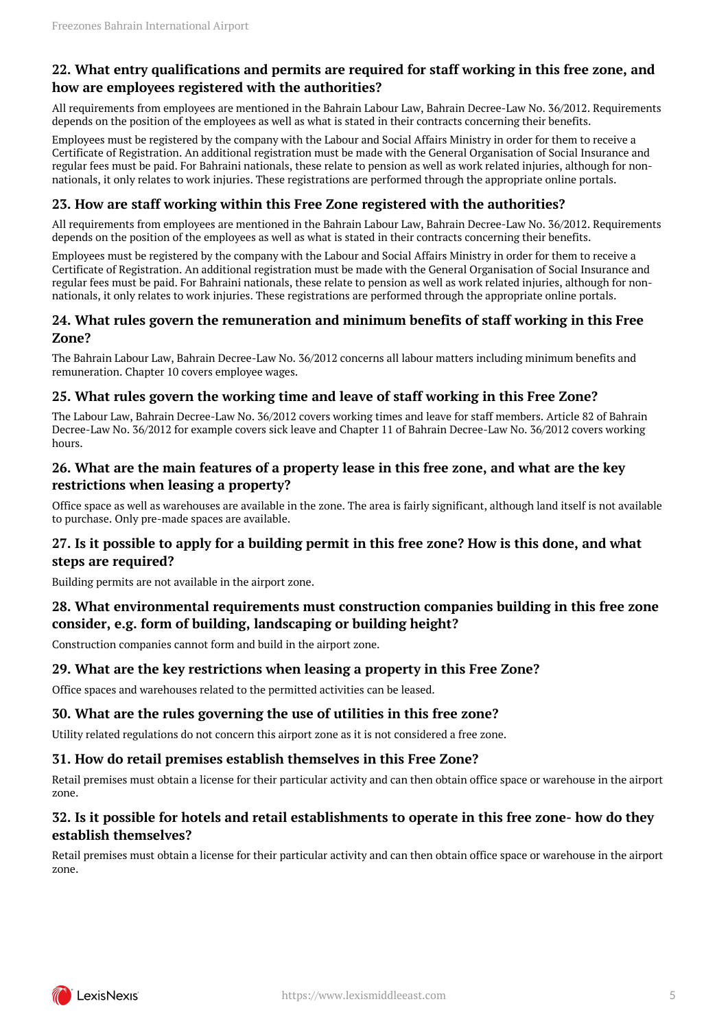### <span id="page-4-0"></span>**22. What entry qualifications and permits are required for staff working in this free zone, and how are employees registered with the authorities?**

All requirements from employees are mentioned in the Bahrain Labour Law, Bahrain Decree-Law No. 36/2012. Requirements depends on the position of the employees as well as what is stated in their contracts concerning their benefits.

Employees must be registered by the company with the Labour and Social Affairs Ministry in order for them to receive a Certificate of Registration. An additional registration must be made with the General Organisation of Social Insurance and regular fees must be paid. For Bahraini nationals, these relate to pension as well as work related injuries, although for nonnationals, it only relates to work injuries. These registrations are performed through the appropriate online portals.

#### <span id="page-4-1"></span>**23. How are staff working within this Free Zone registered with the authorities?**

All requirements from employees are mentioned in the Bahrain Labour Law, Bahrain Decree-Law No. 36/2012. Requirements depends on the position of the employees as well as what is stated in their contracts concerning their benefits.

Employees must be registered by the company with the Labour and Social Affairs Ministry in order for them to receive a Certificate of Registration. An additional registration must be made with the General Organisation of Social Insurance and regular fees must be paid. For Bahraini nationals, these relate to pension as well as work related injuries, although for nonnationals, it only relates to work injuries. These registrations are performed through the appropriate online portals.

#### <span id="page-4-2"></span>**24. What rules govern the remuneration and minimum benefits of staff working in this Free Zone?**

The Bahrain Labour Law, Bahrain Decree-Law No. 36/2012 concerns all labour matters including minimum benefits and remuneration. Chapter 10 covers employee wages.

# <span id="page-4-3"></span>**25. What rules govern the working time and leave of staff working in this Free Zone?**

The Labour Law, Bahrain Decree-Law No. 36/2012 covers working times and leave for staff members. Article 82 of Bahrain Decree-Law No. 36/2012 for example covers sick leave and Chapter 11 of Bahrain Decree-Law No. 36/2012 covers working hours.

#### <span id="page-4-4"></span>**26. What are the main features of a property lease in this free zone, and what are the key restrictions when leasing a property?**

Office space as well as warehouses are available in the zone. The area is fairly significant, although land itself is not available to purchase. Only pre-made spaces are available.

### <span id="page-4-5"></span>**27. Is it possible to apply for a building permit in this free zone? How is this done, and what steps are required?**

Building permits are not available in the airport zone.

# <span id="page-4-6"></span>**28. What environmental requirements must construction companies building in this free zone consider, e.g. form of building, landscaping or building height?**

Construction companies cannot form and build in the airport zone.

#### <span id="page-4-7"></span>**29. What are the key restrictions when leasing a property in this Free Zone?**

Office spaces and warehouses related to the permitted activities can be leased.

#### <span id="page-4-8"></span>**30. What are the rules governing the use of utilities in this free zone?**

Utility related regulations do not concern this airport zone as it is not considered a free zone.

#### <span id="page-4-9"></span>**31. How do retail premises establish themselves in this Free Zone?**

Retail premises must obtain a license for their particular activity and can then obtain office space or warehouse in the airport zone.

### <span id="page-4-10"></span>**32. Is it possible for hotels and retail establishments to operate in this free zone- how do they establish themselves?**

Retail premises must obtain a license for their particular activity and can then obtain office space or warehouse in the airport zone.

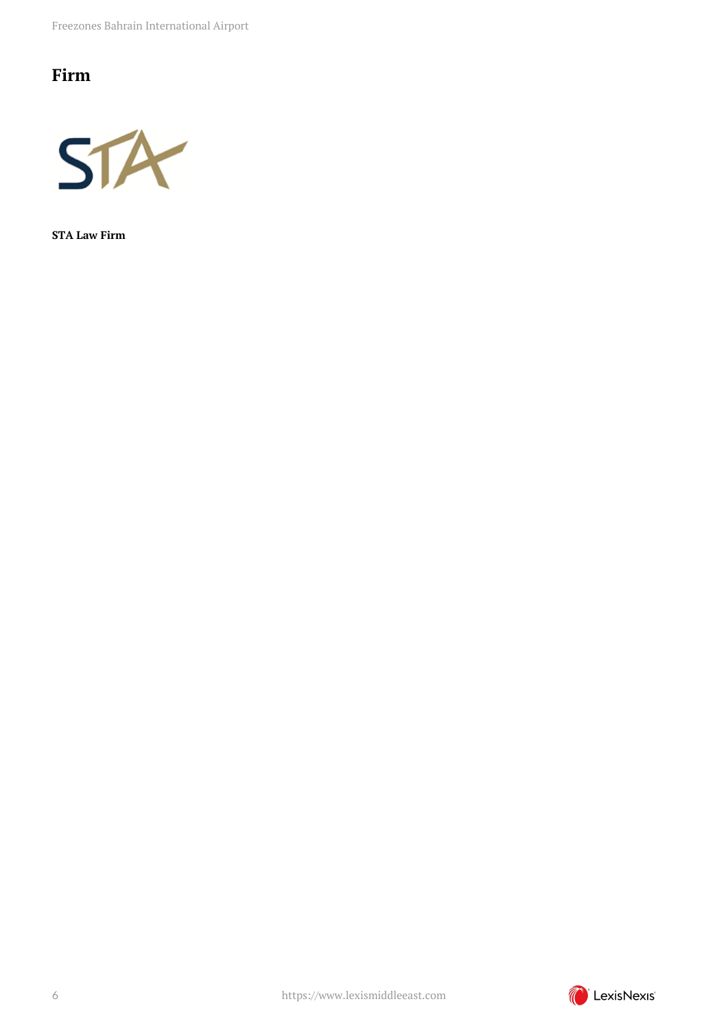Freezones Bahrain International Airport

# <span id="page-5-0"></span>**Firm**



**STA Law Firm**